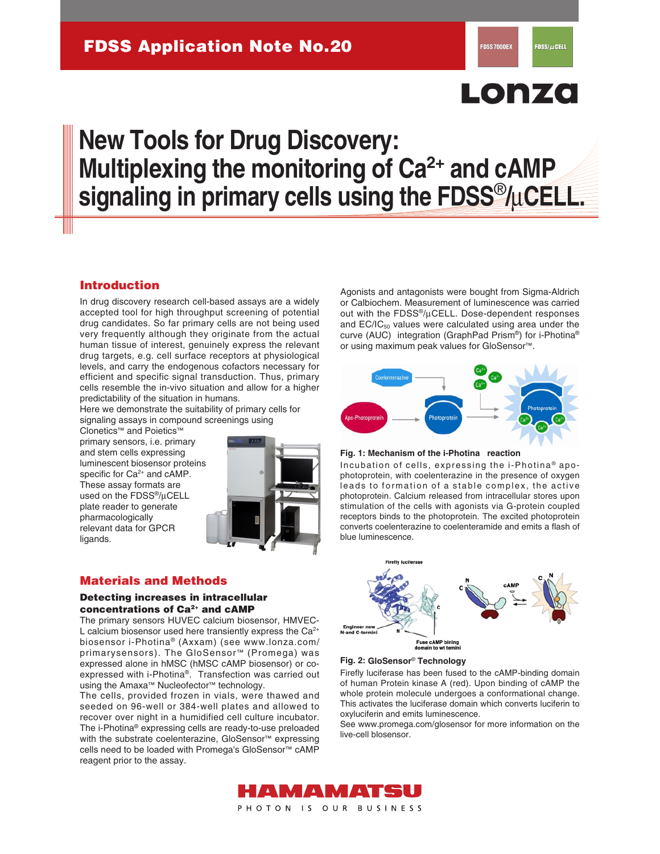# Lonza

# **New Tools for Drug Discovery: Multiplexing the monitoring of Ca<sup>2+</sup> and cAMP signaling in primary cells using the FDSS**®**/**µ**CELL.**

## **Introduction**

In drug discovery research cell-based assays are a widely accepted tool for high throughput screening of potential drug candidates. So far primary cells are not being used very frequently although they originate from the actual human tissue of interest, genuinely express the relevant drug targets, e.g. cell surface receptors at physiological levels, and carry the endogenous cofactors necessary for efficient and specific signal transduction. Thus, primary cells resemble the in-vivo situation and allow for a higher predictability of the situation in humans.

Here we demonstrate the suitability of primary cells for signaling assays in compound screenings using

Clonetics™ and Poietics™ primary sensors, i.e. primary and stem cells expressing luminescent biosensor proteins specific for Ca<sup>2+</sup> and cAMP. These assay formats are used on the FDSS®/µCELL plate reader to generate pharmacologically relevant data for GPCR ligands.



# **Materials and Methods**

### **Detecting increases in intracellular concentrations of Ca2+ and cAMP**

The primary sensors HUVEC calcium biosensor, HMVEC-L calcium biosensor used here transiently express the  $Ca^{2+}$ biosensor i-Photina® (Axxam) (see www.lonza.com/ primarysensors). The GloSensor™ (Promega) was expressed alone in hMSC (hMSC cAMP biosensor) or coexpressed with i-Photina®. Transfection was carried out using the Amaxa™ Nucleofector™ technology.

The cells, provided frozen in vials, were thawed and seeded on 96-well or 384-well plates and allowed to recover over night in a humidified cell culture incubator. The i-Photina® expressing cells are ready-to-use preloaded with the substrate coelenterazine, GloSensor™ expressing cells need to be loaded with Promega's GloSensor™ cAMP reagent prior to the assay.

Agonists and antagonists were bought from Sigma-Aldrich or Calbiochem. Measurement of luminescence was carried out with the FDSS®/µCELL. Dose-dependent responses and  $EC/IC_{50}$  values were calculated using area under the curve (AUC) integration (GraphPad Prism®) for i-Photina® or using maximum peak values for GloSensor™.



#### **Fig. 1: Mechanism of the i-Photina reaction**

Incubation of cells, expressing the i-Photina<sup>®</sup> apophotoprotein, with coelenterazine in the presence of oxygen leads to formation of a stable complex, the active photoprotein. Calcium released from intracellular stores upon stimulation of the cells with agonists via G-protein coupled receptors binds to the photoprotein. The excited photoprotein converts coelenterazine to coelenteramide and emits a flash of blue luminescence.



#### **GloSensor**® **Fig. 2: Technology**

Firefly luciferase has been fused to the cAMP-binding domain of human Protein kinase A (red). Upon binding of cAMP the whole protein molecule undergoes a conformational change. This activates the luciferase domain which converts luciferin to oxyluciferin and emits luminescence.

See www.promega.com/glosensor for more information on the live-cell blosensor.

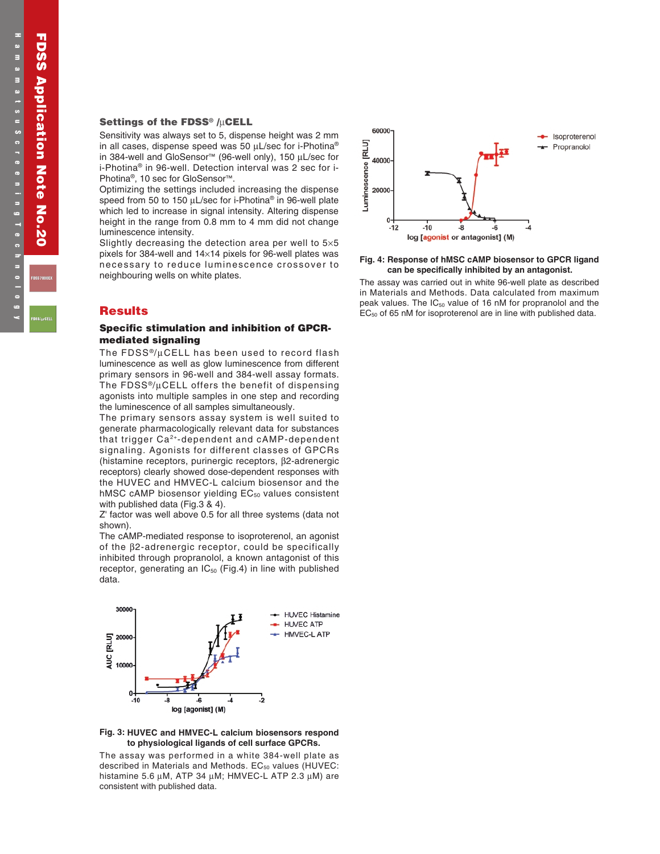## **Settings of the FDSS® /**µ**CELL**

Sensitivity was always set to 5, dispense height was 2 mm in all cases, dispense speed was 50  $\mu$ L/sec for i-Photina® in 384-well and GloSensor™ (96-well only), 150 µL/sec for i-Photina® in 96-well. Detection interval was 2 sec for i-Photina®, 10 sec for GloSensor™.

Optimizing the settings included increasing the dispense speed from 50 to 150 µL/sec for i-Photina® in 96-well plate which led to increase in signal intensity. Altering dispense height in the range from 0.8 mm to 4 mm did not change luminescence intensity.

Slightly decreasing the detection area per well to 5×5 pixels for 384-well and 14×14 pixels for 96-well plates was necessary to reduce luminescence crossover to neighbouring wells on white plates.

## **Results**

#### **Specific stimulation and inhibition of GPCRmediated signaling**

The FDSS<sup>®</sup>/µCELL has been used to record flash luminescence as well as glow luminescence from different primary sensors in 96-well and 384-well assay formats. The FDSS®/µCELL offers the benefit of dispensing agonists into multiple samples in one step and recording the luminescence of all samples simultaneously.

The primary sensors assay system is well suited to generate pharmacologically relevant data for substances that trigger Ca2+-dependent and cAMP-dependent signaling. Agonists for different classes of GPCRs (histamine receptors, purinergic receptors, β2-adrenergic receptors) clearly showed dose-dependent responses with the HUVEC and HMVEC-L calcium biosensor and the hMSC cAMP biosensor yielding  $EC_{50}$  values consistent with published data (Fig.3 & 4).

Z' factor was well above 0.5 for all three systems (data not shown).

The cAMP-mediated response to isoproterenol, an agonist of the β2-adrenergic receptor, could be specifically inhibited through propranolol, a known antagonist of this receptor, generating an  $IC_{50}$  (Fig.4) in line with published data.



#### **HUVEC and HMVEC-L calcium biosensors respond Fig. 3: to physiological ligands of cell surface GPCRs.**

The assay was performed in a white 384-well plate as described in Materials and Methods. EC<sub>50</sub> values (HUVEC: histamine 5.6 µM, ATP 34 µM; HMVEC-L ATP 2.3 µM) are consistent with published data.



#### **Response of hMSC cAMP biosensor to GPCR ligand Fig. 4: can be specifically inhibited by an antagonist.**

The assay was carried out in white 96-well plate as described in Materials and Methods. Data calculated from maximum peak values. The  $IC_{50}$  value of 16 nM for propranolol and the  $EC_{50}$  of 65 nM for isoproterenol are in line with published data.

**FDSS Application Note No.20**

**FDSS Application Note No. 20** 

**FDSS7000EX**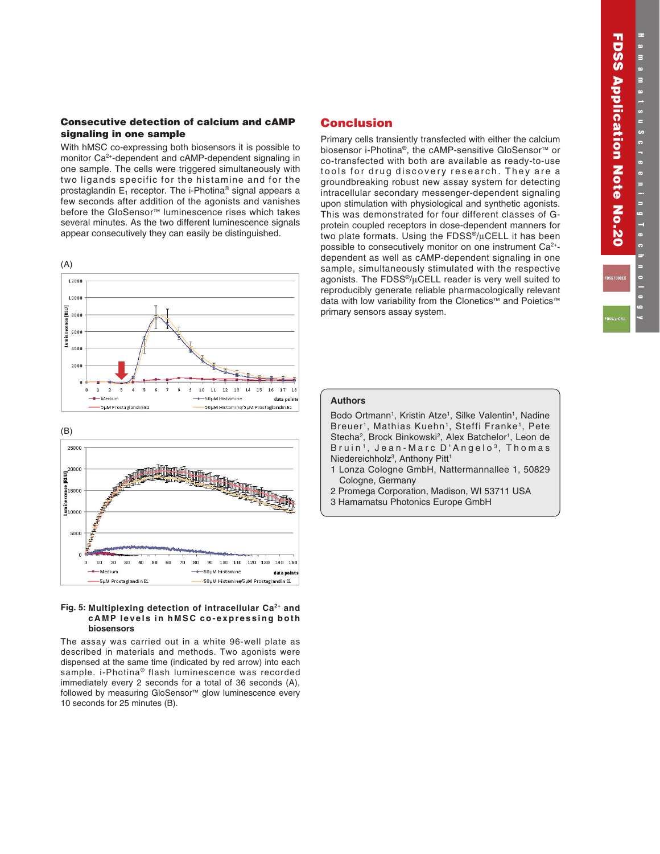**FDSS Application Note No.20**

**FDSS Application Note No.20** 

**FDSS7000EX**

#### **Consecutive detection of calcium and cAMP signaling in one sample**

With hMSC co-expressing both biosensors it is possible to monitor Ca<sup>2+</sup>-dependent and cAMP-dependent signaling in one sample. The cells were triggered simultaneously with two ligands specific for the histamine and for the prostaglandin  $E_1$  receptor. The i-Photina<sup>®</sup> signal appears a few seconds after addition of the agonists and vanishes before the GloSensor™ luminescence rises which takes several minutes. As the two different luminescence signals appear consecutively they can easily be distinguished.





#### **Multiplexing detection of intracellular Ca2+ and Fig. 5: cAMP levels in hMSC co-expressing both biosensors**

The assay was carried out in a white 96-well plate as described in materials and methods. Two agonists were dispensed at the same time (indicated by red arrow) into each sample. i-Photina® flash luminescence was recorded immediately every 2 seconds for a total of 36 seconds (A), followed by measuring GloSensor™ glow luminescence every 10 seconds for 25 minutes (B).

## **Conclusion**

Primary cells transiently transfected with either the calcium biosensor i-Photina®, the cAMP-sensitive GloSensor™ or co-transfected with both are available as ready-to-use tools for drug discovery research. They are a groundbreaking robust new assay system for detecting intracellular secondary messenger-dependent signaling upon stimulation with physiological and synthetic agonists. This was demonstrated for four different classes of Gprotein coupled receptors in dose-dependent manners for two plate formats. Using the FDSS®/µCELL it has been possible to consecutively monitor on one instrument Ca<sup>2+</sup>dependent as well as cAMP-dependent signaling in one sample, simultaneously stimulated with the respective agonists. The FDSS®/µCELL reader is very well suited to reproducibly generate reliable pharmacologically relevant data with low variability from the Clonetics™ and Poietics™ primary sensors assay system.

### **Authors**

Bodo Ortmann<sup>1</sup>, Kristin Atze<sup>1</sup>, Silke Valentin<sup>1</sup>, Nadine Breuer<sup>1</sup>, Mathias Kuehn<sup>1</sup>, Steffi Franke<sup>1</sup>, Pete Stecha<sup>2</sup>, Brock Binkowski<sup>2</sup>, Alex Batchelor<sup>1</sup>, Leon de Bruin<sup>1</sup>, Jean-Marc D'Angelo<sup>3</sup>, Thomas Niedereichholz<sup>3</sup>, Anthony Pitt<sup>1</sup>

- 1 Lonza Cologne GmbH, Nattermannallee 1, 50829 Cologne, Germany
- 2 Promega Corporation, Madison, WI 53711 USA
- 3 Hamamatsu Photonics Europe GmbH